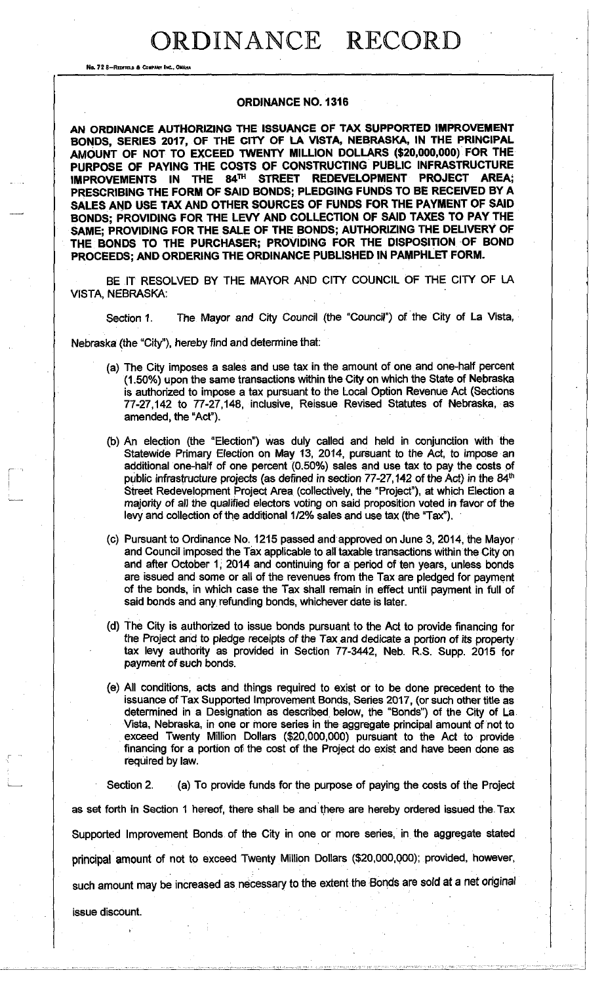No. 7 2 8-REDFIELD & COMPANY INC., OMAHA

#### **ORDINANCE NO. 1316**

**AN ORDINANCE AUTHORIZING THE ISSUANCE OF TAX SUPPORTED IMPROVEMENT BONDS, SERIES 2017, OF THE CITY OF LA VISTA, NEBRASKA, IN THE PRINCIPAL AMOUNT OF NOT TO EXCEED TWENTY MILLION DOLLARS (\$20,000,000) FOR THE PURPOSE OF PAYING THE COSTS OF CONSTRUCTING PUBLIC INFRASTRUCTURE IMPROVEMENTS IN THE 84™ STREET REDEVELOPMENT PROJECT AREA; PRESCRIBING THE FORM OF SAID BONDS; PLEDGING FUNDS TO BE RECEIVED BY A SALES AND USE TAX AND OTHER SOURCES OF FUNDS FOR THE PAYMENT OF SAID BONDS; PROVIDING FOR THE LEVY AND COLLECTION OF SAID TAXES TO PAY THE SAME; PROVIDING FOR THE SALE OF THE BONDS; AUTHORIZING THE DELIVERY OF THE BONDS TO THE PURCHASER; PROVIDING FOR THE DISPOSITION OF BOND PROCEEDS; AND ORDERING THE ORDINANCE PUBLISHED IN PAMPHLET FORM.** 

BE IT RESOLVED BY THE MAYOR AND CITY COUNCIL OF THE CITY OF LA VISTA, NEBRASKA:

Section 1. The Mayor and City Council (the "Council") of the City of La Vista,

Nebraska (the "City"), hereby find and determine that:

- (a) The City imposes a sales and use tax in the amount of one and one-half percent (1.50%) upon the same transactions within the City on which the State of Nebraska is authorized to impose a tax pursuant to the Local Option Revenue Act (Sections 77-27,142 to 77-27,148, inclusive, Reissue Revised Statutes of Nebraska, as amended, the "Act").
- (b) An election (the "Election") was duly called and held in conjunction with the Statewide Primary Election on May 13, 2014, pursuant to the Act, to impose an additional one-half of one percent (0.50%) sales and use tax to pay the costs of public infrastructure projects (as defined in section 77-27,142 of the Act) in the 84<sup>th</sup> Street Redevelopment Project Area (collectively, the "Project"), at which Election a majority of all the qualified electors voting on said proposition voted in favor of the levy and collection of the additional 1/2% sales and use tax (the "Tax").
- (c) Pursuant to Ordinance No. 1215 passed and approved on June 3, 2014, the Mayor and Council imposed the Tax applicable to all taxable transactions within the City on and after October 1, 2014 and continuing for a period of ten years, unless bonds are issued and some or all of the revenues from the Tax are pledged for payment of the bonds, in which case the Tax shall remain in effect until payment in full of said bonds and any refunding bonds, whichever date is later.
- (d) The City is authorized to issue bonds pursuant to the Act to provide financing for the Project and to pledge receipts of the Tax and dedicate a portion of its property tax levy authority as provided in Section 77-3442, Neb. R.S. Supp. 2015 for payment of such bonds.
- (e) All conditions, acts and things required to exist or to be done precedent to the issuance of Tax Supported Improvement Bonds, Series 2017, (or such other title as determined in a Designation as described below, the "Bonds") of the City of La Vista, Nebraska, in one or more series in the aggregate principal amount of not to exceed Twenty Million Dollars (\$20,000,000) pursuant to the Act to provide financing for a portion of the cost of the Project do exist and have been done as required by law.

Section 2. (a) To provide funds for the purpose of paying the costs of the Project as set forth in Section 1 hereof, there shall be and there are hereby ordered issued the Tax Supported Improvement Bonds of the City in one or more series, in the aggregate stated principal amount of not to exceed Twenty Million Dollars (\$20,000,Q00); provided, however, such amount may be increased as necessary to the extent the Bonds are sold at a net original issue discount.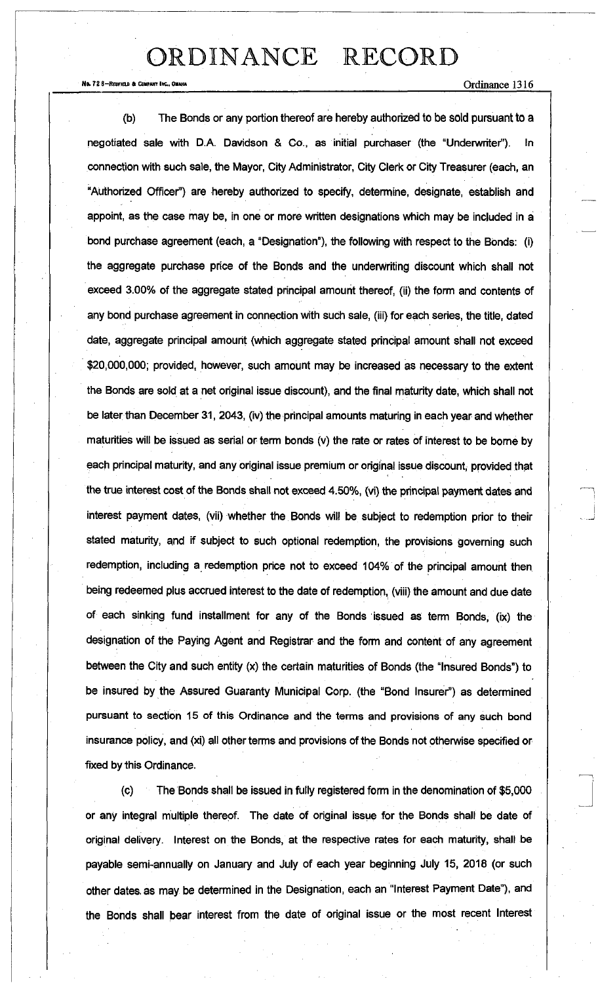Ne. 72 8-RedField & Company Inc., Omaha  $\alpha$  redField  $\alpha$  redField  $\alpha$  redField  $\alpha$  redField  $\alpha$  redField  $\alpha$  redField  $\alpha$  redField  $\alpha$  redField  $\alpha$  redField  $\alpha$  redField  $\alpha$  redField  $\alpha$  redField  $\alpha$  redField

(b) The Bonds or any portion thereof are hereby authorized to be sold pursuant to a negotiated sale with D.A. Davidson & Co., as initial purchaser (the "Underwriter"). In connection with such sale, the Mayor, City Administrator, City Clerk or City Treasurer (each, an "Authorized Officer") are hereby authorized to specify, determine, designate, establish and appoint, as the case may be, in one or more written designations which may be included in a bond purchase agreement (each, a "Designation"), the following with respect to the Bonds: (i) the aggregate purchase price of the Bonds and the underwriting discount which shall not exceed 3.00% of the aggregate stated principal amount thereof, (ii) the form and contents of any bond purchase agreement in connection with such sale, (iii) for each series, the title, dated date, aggregate principal amount (which aggregate stated principal amount shall not exceed \$20,000,000; provided, however, such amount may be increased as necessary to the extent the Bonds are sold at a net original issue discount), and the final maturity date, which shall not be later than December 31, 2043, (iv) the principal amounts maturing in each year and whether maturities will be issued as serial or term bonds (v) the rate or rates of interest to be borne by each principal maturity, and any original issue premium or original issue discount, provided that the true interest cost of the Bonds shall not exceed 4.50%, (vi) the principal payment dates and interest payment dates, (vii) whether the Bonds will be subject to redemption prior to their stated maturity, and if subject to such optional redemption, the provisions governing such redemption, including a redemption price not to exceed 104% of the principal amount then being redeemed plus accrued interest to the date of redemption, (viii) the amount and due date of each sinking fund installment for any of the Bonds issued as term Bonds, (ix) the designation of the Paying Agent and Registrar and the form and content of any agreement between the City and such entity (x) the certain maturities of Bonds (the "Insured Bonds") to be insured by the Assured Guaranty Municipal Corp. (the "Bond Insurer") as determined pursuant to section 15 of this Ordinance and the terms and provisions of any such bond insurance policy, and (xi) all other terms and provisions of the Bonds not otherwise specified or fixed by this Ordinance.

(c) The Bonds shall be issued in fully registered form in the denomination of \$5,000 or any integral multiple thereof. The date of original issue for the Bonds shall be date of original delivery. Interest on the Bonds, at the respective rates for each maturity, shall be payable semi-annually on January and July of each year beginning July 15, 2018 (or such other dates, as may be determined in the Designation, each an "Interest Payment Date"), and the Bonds shall bear interest from the date of original issue or the most recent Interest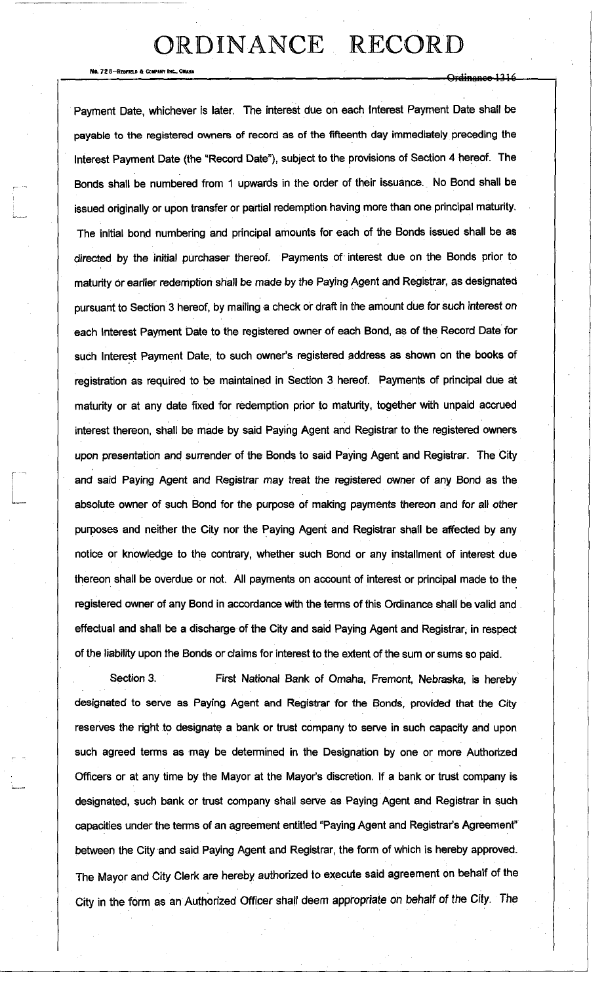No. 72 8-REDFIELD & COMPANY INC., O

Or<del>dinance 1316</del>

Payment Date, whichever is later. The interest due on each Interest Payment Date shall be payable to the registered owners of record as of the fifteenth day immediately preceding the Interest Payment Date (the "Record Date"), subject to the provisions of Section 4 hereof. The Bonds shall be numbered from 1 upwards in the order of their issuance. No Bond shall be issued originally or upon transfer or partial redemption having more than one principal maturity. The initial bond numbering and principal amounts for each of the Bonds issued shall be as directed by the initial purchaser thereof. Payments of interest due on the Bonds prior to maturity or earlier redemption shall be made by the Paying Agent and Registrar, as designated pursuant to Section 3 hereof, by mailing a check or draft in the amount due for such interest on each Interest Payment Date to the registered owner of each Bond, as of the Record Date for such Interest Payment Date, to such owner's registered address as shown on the books of registration as required to be maintained in Section 3 hereof. Payments of principal due at maturity or at any date fixed for redemption prior to maturity, together with unpaid accrued interest thereon, shall be made by said Paying Agent and Registrar to the registered owners upon presentation and surrender of the Bonds to said Paying Agent and Registrar. The City and said Paying Agent and Registrar may treat the registered owner of any Bond as the absolute owner of such Bond for the purpose of making payments thereon and for all other purposes and neither the City nor the Paying Agent and Registrar shall be affected by any notice or knowledge to the contrary, whether such Bond or any installment of interest due thereon shall be overdue or hot. All payments on account of interest or principal made to the registered owner of any Bond in accordance with the terms of this Ordinance shall be valid and effectual and shall be a discharge of the City and said Paying Agent and Registrar, in respect of the liability upon the Bonds or claims for interest to the extent of the sum or sums so paid.

Section 3. First National Bank of Omaha, Fremont, Nebraska, is hereby designated to serve as Paying Agent and Registrar for the Bonds, provided that the City reserves the right to designate a bank or trust company to serve in such capacity and upon such agreed terms as may be determined in the Designation by one or more Authorized Officers or at any time by the Mayor at the Mayor's discretion. If a bank or trust company is designated, such bank or trust company shall serve as Paying Agent and Registrar in such capacities under the terms of an agreement entitled "Paying Agent and Registrar's Agreement" between the City and said Paying Agent and Registrar, the form of which is hereby approved. The Mayor and City Clerk are hereby authorized to execute said agreement on behalf of the City in the form as an Authorized Officer shall deem appropriate on behalf of the *City.* The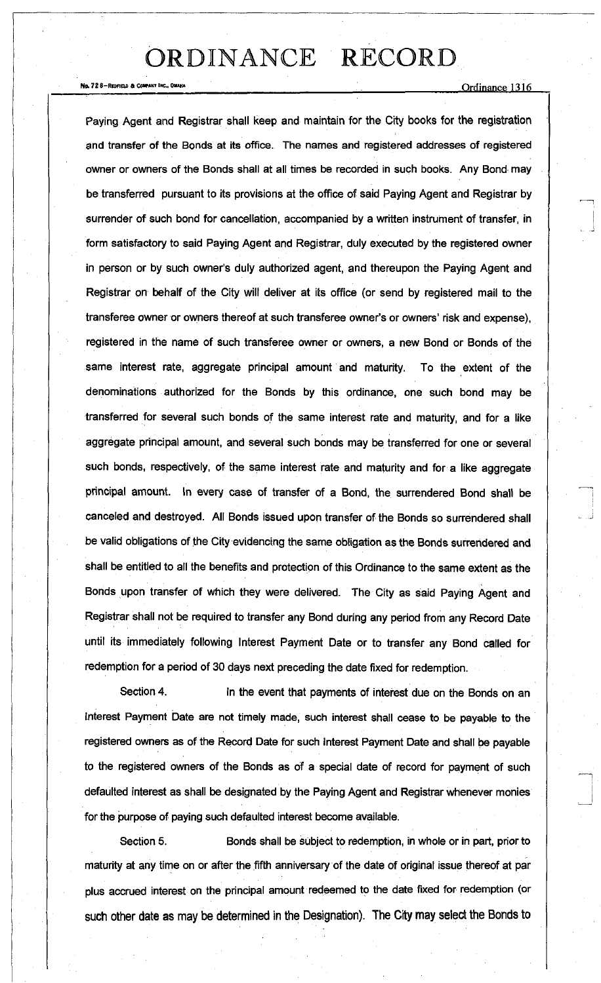No. 72 8-Redition & COMPART INC., OMAHA  $Ordinance$   $1316$ 

Paying Agent and Registrar shall keep and maintain for the City books for the registration and transfer of the Bonds at its office. The names and registered addresses of registered owner or owners of the Bonds shall at all times be recorded in such books. Any Bond may be transferred pursuant to its provisions at the office of said Paying Agent and Registrar by surrender of such bond for cancellation, accompanied by a written instrument of transfer, in form satisfactory to said Paying Agent and Registrar, duly executed by the registered owner in person or by such owner's duly authorized agent, and thereupon the Paying Agent and Registrar on behalf of the City will deliver at its office (or send by registered mail to the transferee owner or owners thereof at such transferee owner's or owners' risk and expense), registered in the name of such transferee owner or owners, a new Bond or Bonds of the same interest rate, aggregate principal amount and maturity. To the extent of the denominations authorized for the Bonds by this ordinance, one such bond may be transferred for several such bonds of the same interest rate and maturity, and for a like aggregate principal amount, and several such bonds may be transferred for one or several such bonds, respectively, of the same interest rate and maturity and for a like aggregate principal amount. In every case of transfer of a Bond, the surrendered Bond shall be canceled and destroyed. All Bonds issued upon transfer of the Bonds so surrendered shall be valid obligations of the City evidencing the same obligation as the Bonds surrendered and shall be entitled to all the benefits and protection of this Ordinance to the same extent as the Bonds upon transfer of which they were delivered. The City as said Paying Agent and Registrar shall not be required to transfer any Bond during any period from any Record Date until its immediately following Interest Payment Date or to transfer any Bond called for redemption for a period of 30 days next preceding the date fixed for redemption.

Section 4. **In the event that payments of interest due on the Bonds on an** Interest Payment Date are not timely made, such interest shall cease to be payable to the registered owners as of the Record Date for such Interest Payment Date and shall be payable to the registered owners of the Bonds as of a special date of record for payment of such defaulted interest as shall be designated by the Paying Agent and Registrar whenever monies for the purpose of paying such defaulted interest become available.

Section 5. Bonds shall be subject to redemption, in whole or in part, prior to maturity at any time on or after the fifth anniversary of the date of original issue thereof at par plus accrued interest on the principal amount redeemed to the date fixed for redemption (or such other date as may be determined in the Designation). The City may select the Bonds to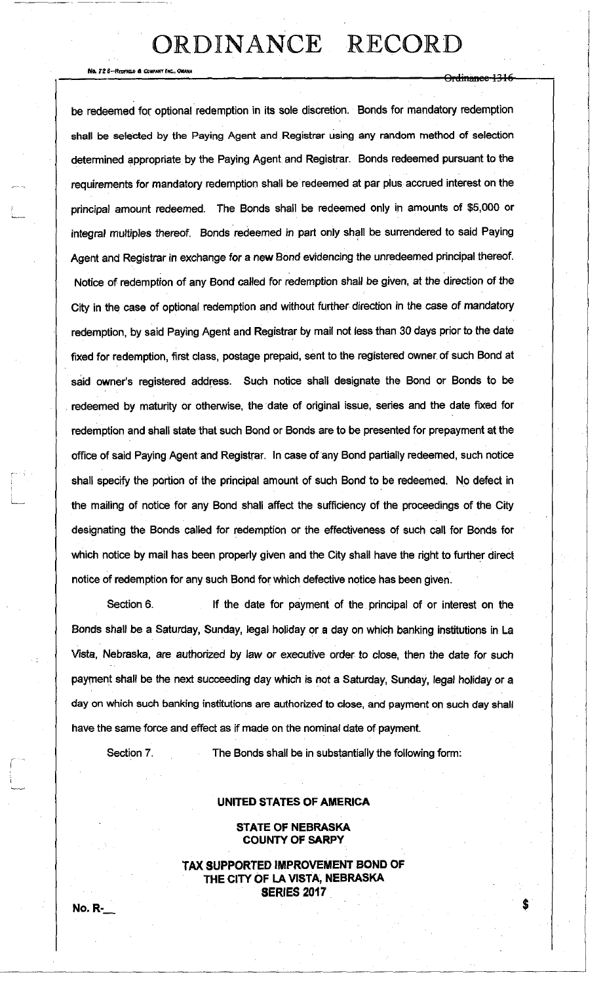No, *72* S-REDFIEU) 6 *Couruir* |\*T, *OMAHA* 

<del>Ordinance 1316</del>

be redeemed for optional redemption in its sole discretion. Bonds for mandatory redemption shall be selected by the Paying Agent and Registrar using any random method of selection determined appropriate by the Paying Agent and Registrar. Bonds redeemed pursuant to the requirements for mandatory redemption shall be redeemed at par plus accrued interest on the principal amount redeemed. The Bonds shall be redeemed only in amounts of \$5,000 or integral multiples thereof. Bonds redeemed in part only shall be surrendered to said Paying Agent and Registrar in exchange for a new Bond evidencing the unredeemed principal thereof. Notice of redemption of any Bond called for redemption shall be given, at the direction of the City in the case of optional redemption and without further direction in the case of mandatory redemption, by said Paying Agent and Registrar by mail not less than 30 days prior to the date fixed for redemption, first class, postage prepaid, sent to the registered owner of such Bond at said owner's registered address. Such notice shall designate the Bond or Bonds to be redeemed by maturity or otherwise, the date of original issue, series and the date fixed for redemption and shall state that such Bond or Bonds are to be presented for prepayment at the office of said Paying Agent and Registrar. In case of any Bond partially redeemed, such notice shall specify the portion of the principal amount of such Bond to be redeemed. No defect in the mailing of notice for any Bond shall affect the sufficiency of the proceedings of the City designating the Bonds called for redemption or the effectiveness of such call for Bonds for which notice by mail has been properly given and the City shall have the right to further direct notice of redemption for any such Bond for which defective notice has been given.

Section 6. If the date for payment of the principal of or interest on the Bonds shall be a Saturday, Sunday, legal holiday or a day on which banking institutions in La Vista, Nebraska, are authorized by law or executive order to close, then the date for such payment shall be the next succeeding day which is not a Saturday, Sunday, legal holiday or a day on which such banking institutions are authorized to close, and payment on such day shall have the same force and effect as if made on the nominal date of payment.

Section 7. The Bonds shall be in substantially the following form:

#### **UNITED STATES OF AMERICA**

#### **STATE OF NEBRASKA COUNTY OF SARPY**

**TAX SUPPORTED IMPROVEMENT BOND OF THE CITY OF LA VISTA, NEBRASKA SERIES 2017**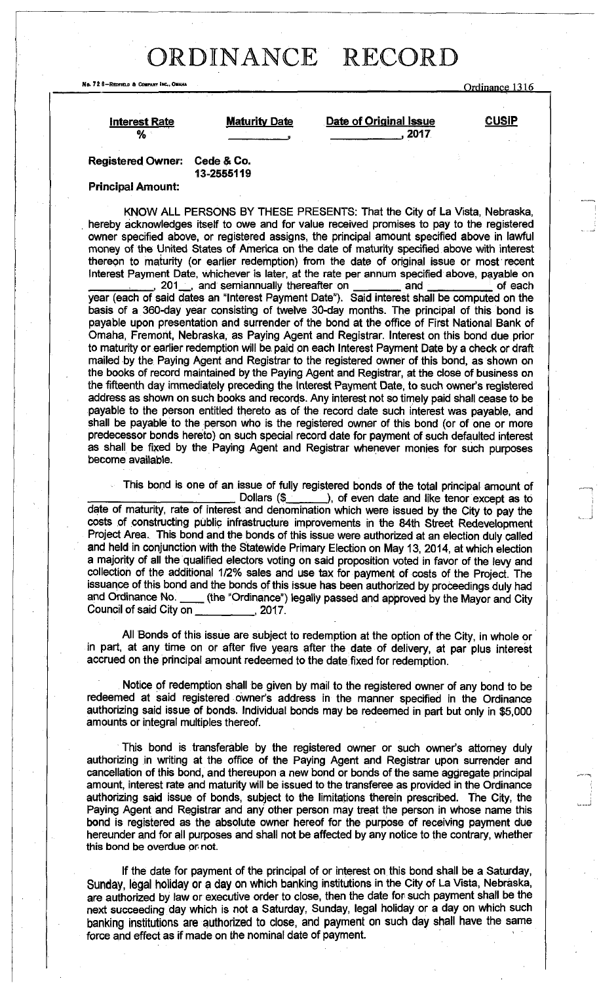HP**. 72 8**-REPFIELC **ft** CONRAWR **itc..** OM**\* \***<sup>H</sup> **| Ordinance 1316** 

**Interest Rate Maturity Date Date of Original Issue CUSIP % , ,2017** 

Registered Owner: Cede & Co. **13-2555119** 

#### Principal Amount:

KNOW ALL PERSONS BY THESE PRESENTS: That the City of La Vista, Nebraska, hereby acknowledges itself to owe and for value received promises to pay to the registered owner specified above, or registered assigns, the principal amount specified above in lawful money of the United States of America on the date of maturity specified above with interest thereon to maturity (or earlier redemption) from the date of original issue or most recent Interest Payment Date, whichever is later, at the rate per annum specified above, payable on<br>201, and semiannually thereafter on \_\_\_\_\_\_\_\_ and \_\_\_\_\_\_ of each

, 201\_, and semiannually thereafter on \_\_\_\_\_\_ and \_\_\_\_\_\_\_ of each year (each of said dates an "Interest Payment Date"). Said interest shall be computed on the basis of a 360-day year consisting of twelve 30-day months. The principal of this bond is payable upon presentation and surrender of the bond at the office of First National Bank of Omaha, Fremont, Nebraska, as Paying Agent and Registrar. Interest on this bond due prior to maturity or earlier redemption will be. paid on each Interest Payment Date by a check or draft mailed by the Paying Agent and Registrar to the registered owner of this bond, as shown on the books of record maintained by the Paying Agent and Registrar, at the close of business on the fifteenth day immediately preceding the Interest Payment Date, to such owner's registered address as shown on such books and records. Any interest not so timely paid shall cease to be payable to the person entitled thereto as of the record date such interest was payable, and shall be payable to the person who is the registered owner of this bond (or of one or more predecessor bonds hereto) on such special record date for payment of such defaulted interest as shall be fixed by the Paying Agent and Registrar whenever monies for such purposes become available.

This bond is one of an issue of fully registered bonds of the total principal amount of Dollars (\$<sub>1,1</sub>, 2008), of even date and like tenor except as to date of maturity, rate of interest and denomination which were issued by the City to pay the costs of constructing public infrastructure improvements in the 84th Street Redevelopment Project Area. This bond and the bonds of this issue were authorized at an election duly called and held in conjunction with the Statewide Primary Election on May 13, 2014, at which election a majority of all the qualified electors voting on said proposition voted in favor of the levy and collection of the additional 1/2% sales and use tax for payment of costs of the Project. The issuance of this bond and the bonds of this issue has been authorized by proceedings duly had<br>and Ordinance No. (the "Ordinance") legally passed and approved by the Mayor and City \_ (the "Ordinance") legally passed and approved by the Mayor and City Council of said City on **Council of said City on** , 2017.

All Bonds of this issue are subject to redemption at the option of the City, in whole or in part, at any time on or after five years after the date of delivery, at par plus interest accrued on the principal amount redeemed to the date fixed for redemption.

Notice of redemption shall be given by mail to the registered owner of any bond to be redeemed at said registered owner's address in the manner specified in the Ordinance authorizing said issue of bonds. Individual bonds may be redeemed in part but only in \$5,000 amounts or integral multiples thereof.

This bond is transferable by the registered owner or such owner's attorney duly authorizing in writing at the office of the Paying Agent and Registrar upon surrender and cancellation of this bond, and thereupon a new bond or bonds of the same aggregate principal amount, interest rate and maturity will be issued to the transferee as provided in the Ordinance authorizing said issue of bonds, subject to the limitations therein prescribed. The City, the Paying Agent and Registrar and any other person may treat the person in whose name this bond is registered as the absolute owner hereof for the purpose of receiving payment due hereunder and for all purposes and shall not be affected by any notice to the contrary, whether this bond be overdue or not.

If the date for payment of the principal of or interest on this bond shall be a Saturday, Sunday, legal holiday or a day on which banking institutions in the City of La Vista, Nebraska, are authorized by law or executive order to close, then the date for such payment shall be the next succeeding day which is not a Saturday, Sunday, legal holiday or a day on which such banking institutions are authorized to close, and payment on such day shall have the same force and effect as if made on the nominal date of payment.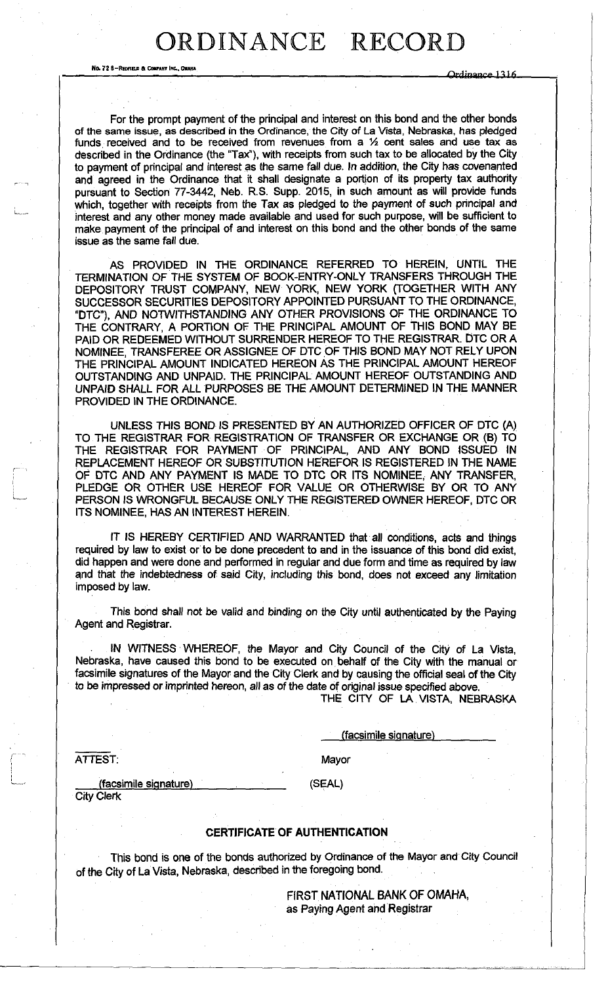No. 72 8-Repried & Company Inc., Oranga **Ordinal Company and Company inc.** The Company of the Company of the Company of the Company of the Company of the Company of the Company of the Company of the Company of the Company

For the prompt payment of the principal and interest on this bond and the other bonds of the same issue, as described in the Ordinance, the City of La Vista, Nebraska, has pledged funds received and to be received from revenues from a  $1/2$  cent sales and use tax as described in the Ordinance (the "Tax"), with receipts from such tax to be allocated by the City to payment of principal and interest as the same fall due. In addition, the City has covenanted and agreed in the Ordinance that it shall designate a portion of its property tax authority pursuant to Section 77-3442, Neb. R.S. Supp. 2015, in such amount as will provide funds which, together with receipts from the Tax as pledged to the payment of such principal and interest and any other money made available and used for such purpose, will be sufficient to make payment of the principal of and interest on this bond and the other bonds of the same issue as the same fall due.

AS PROVIDED IN THE ORDINANCE REFERRED TO HEREIN, UNTIL THE TERMINATION OF THE SYSTEM OF BOOK-ENTRY-ONLY TRANSFERS THROUGH THE DEPOSITORY TRUST COMPANY, NEW YORK, NEW YORK (TOGETHER WITH ANY SUCCESSOR SECURITIES DEPOSITORY APPOINTED PURSUANT TO THE ORDINANCE, "DTC"), AND NOTWITHSTANDING ANY OTHER PROVISIONS OF THE ORDINANCE TO THE CONTRARY, A PORTION OF THE PRINCIPAL AMOUNT OF THIS BOND MAY BE PAID OR REDEEMED WITHOUT SURRENDER HEREOF TO THE REGISTRAR. DTC OR A NOMINEE, TRANSFEREE OR ASSIGNEE OF DTC OF THIS BOND MAY NOT RELY UPON THE PRINCIPAL AMOUNT INDICATED HEREON AS THE PRINCIPAL AMOUNT HEREOF OUTSTANDING AND UNPAID. THE PRINCIPAL AMOUNT HEREOF OUTSTANDING AND UNPAID SHALL FOR ALL PURPOSES BE THE AMOUNT DETERMINED IN THE MANNER PROVIDED IN THE ORDINANCE.

UNLESS THIS BOND IS PRESENTED BY AN AUTHORIZED OFFICER OF DTC (A) TO THE REGISTRAR FOR REGISTRATION OF TRANSFER OR EXCHANGE OR (B) TO THE REGISTRAR FOR PAYMENT OF PRINCIPAL, AND ANY BOND ISSUED IN REPLACEMENT HEREOF OR SUBSTITUTION HEREFOR IS REGISTERED IN THE NAME OF DTC AND ANY PAYMENT IS MADE TO DTC OR ITS NOMINEE, ANY TRANSFER, PLEDGE OR OTHER USE HEREOF FOR VALUE OR OTHERWISE BY OR TO ANY PERSON IS WRONGFUL BECAUSE ONLY THE REGISTERED OWNER HEREOF, DTC OR ITS NOMINEE, HAS AN INTEREST HEREIN.

IT IS HEREBY CERTIFIED AND WARRANTED that all conditions, acts and things required by law to exist or to be done precedent to and in the issuance of this bond did exist, did happen and were done and performed in regular and due form and time as required by law and that the indebtedness of said City, including this bond, does not exceed any limitation imposed by law.

This bond shall not be valid and binding on the City until authenticated by the Paying Agent and Registrar.

IN WITNESS WHEREOF, the Mayor and City Council of the City of La Vista, Nebraska, have caused this bond to be executed on behalf of the City with the manual or facsimile signatures of the Mayor and the City Clerk and by causing the official seal of the City to be impressed or imprinted hereon, all as of the date of original issue specified above.

THE CITY OF LA VISTA, NEBRASKA

(facsimile signature)

ATTEST: Mayor

(facsimile signature ) . (SEAL) City Clerk

#### **CERTIFICATE OF AUTHENTICATION**

This bond is one of the bonds authorized by Ordinance of the Mayor and City Council of the City of La Vista, Nebraska, described in the foregoing bond.

> FIRST NATIONAL BANK OF OMAHA, as Paying Agent and Registrar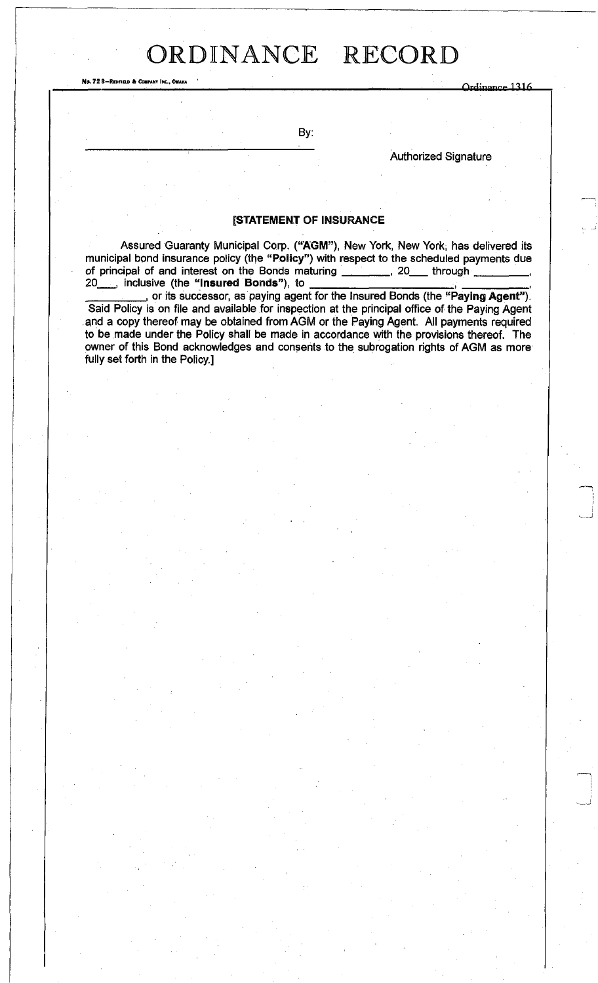No. 72 8-REDFIELD & COMPANY INC., OMAHA<br>
Campaign Company inc., OMAHA Ordinance 1316

By:

Authorized Signature

#### **[STATEMENT OF INSURANCE**

Assured Guaranty Municipal Corp. **("AGM"),** New York, New York, has delivered its municipal bond insurance policy (the "Policy") with respect to the scheduled payments due of principal of and interest on the Bonds maturing \_\_\_\_\_\_\_, 20\_\_\_ through \_ 20 , inclusive (the "Insured Bonds"), to

, or its successor, as paying agent for the Insured Bonds (the **"Paying Agent").**  Said Policy is on file and available for inspection at the principal office of the Paying Agent and a copy thereof may be obtained from AGM or the Paying Agent. All payments required to be made under the Policy shall be made in accordance with the provisions thereof. The owner of this Bond acknowledges and consents to the subrogation rights of AGM as more fully set forth in the Policy.]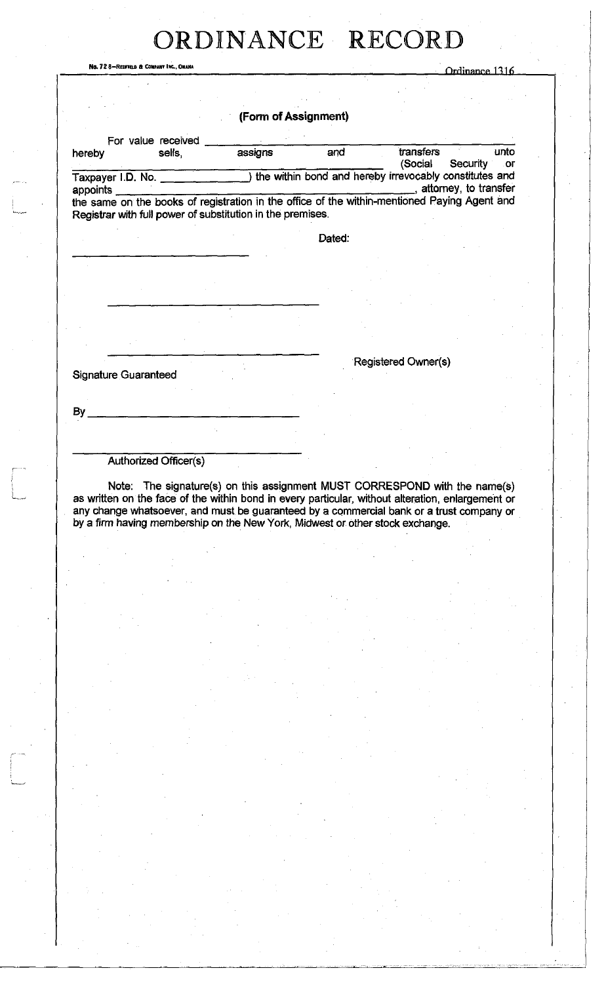|                             | No. 72 8-REDFIELD & COMPANY INC., OMAHA                                                      |         |                      |                     | Ordinance 1316               |
|-----------------------------|----------------------------------------------------------------------------------------------|---------|----------------------|---------------------|------------------------------|
|                             |                                                                                              |         |                      |                     |                              |
|                             |                                                                                              |         |                      |                     |                              |
|                             |                                                                                              |         | (Form of Assignment) |                     |                              |
|                             | For value received                                                                           |         |                      |                     |                              |
| hereby                      | sells,                                                                                       | assigns | and                  | transfers           | unto                         |
|                             |                                                                                              |         |                      | (Social             | <b>Security</b><br><b>or</b> |
|                             |                                                                                              |         |                      |                     | , attorney, to transfer      |
| appoints                    | the same on the books of registration in the office of the within-mentioned Paying Agent and |         |                      |                     |                              |
|                             | Registrar with full power of substitution in the premises.                                   |         |                      |                     |                              |
|                             |                                                                                              |         |                      |                     |                              |
|                             |                                                                                              |         | Dated:               |                     |                              |
|                             |                                                                                              |         |                      |                     |                              |
|                             |                                                                                              |         |                      |                     |                              |
|                             |                                                                                              |         |                      |                     |                              |
|                             |                                                                                              |         |                      |                     |                              |
|                             |                                                                                              |         |                      |                     |                              |
|                             |                                                                                              |         |                      |                     |                              |
|                             |                                                                                              |         |                      |                     |                              |
|                             |                                                                                              |         |                      | Registered Owner(s) |                              |
| <b>Signature Guaranteed</b> |                                                                                              |         |                      |                     |                              |
|                             |                                                                                              |         |                      |                     |                              |
|                             |                                                                                              |         |                      |                     |                              |
| By                          |                                                                                              |         |                      |                     |                              |
|                             |                                                                                              |         |                      |                     |                              |
|                             |                                                                                              |         |                      |                     |                              |

Authorized Officer(s)

Note: The signature(s) on this assignment MUST CORRESPOND with the name(s) as written on the face of the within bond in every particular, without alteration, enlargement or any change whatsoever, and must be guaranteed by a commercial bank or a trust company or by a firm having membership on the New York, Midwest or other stock exchange.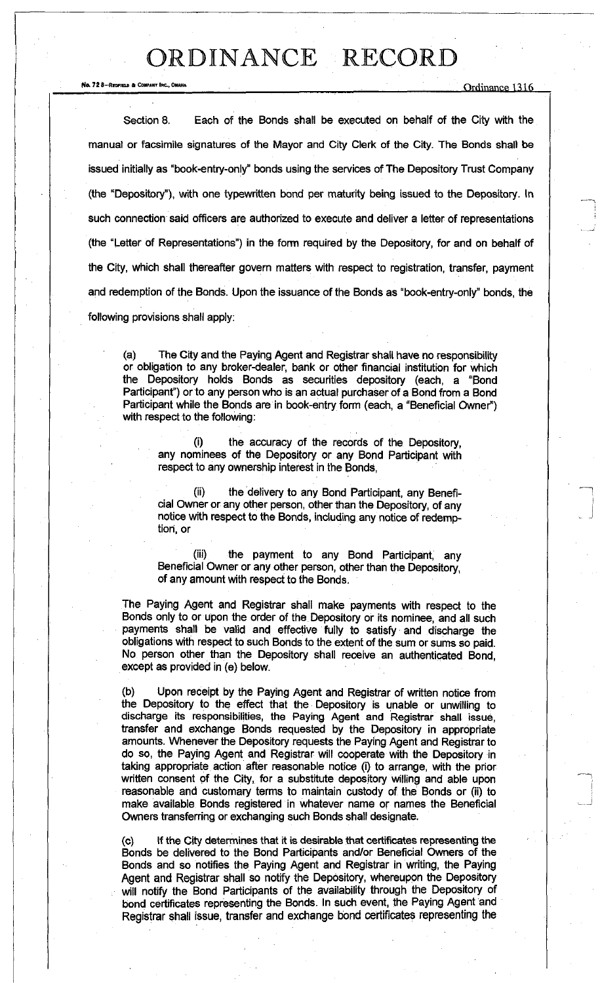No. 72 8—REDFIELD & COMPANY FAC., OMAHA $\frac{1316}{2}$ 

Section 8. Each of the Bonds shall be executed on behalf of the City with the manual or facsimile signatures of the Mayor and City Clerk of the City. The Bonds shall be issued initially as "book-entry-only" bonds using the services of The Depository Trust Company (the "Depository"), with one typewritten bond per maturity being issued to the Depository. In such connection said officers are authorized to execute and deliver a letter of representations (the "Letter of Representations") in the form required by the Depository, for and on behalf of the City, which shall thereafter govern matters with respect to registration, transfer, payment and redemption of the Bonds. Upon the issuance of the Bonds as "book-entry-only" bonds, the following provisions shall apply:

(a) The City and the Paying Agent and Registrar shall have no responsibility or obligation to any broker-dealer, bank or other financial institution for which the Depository holds Bonds as securities depository (each, a "Bond Participant") or to any person who is an actual purchaser of a Bond from a Bond Participant while the Bonds are in book-entry form (each, a "Beneficial Owner") with respect to the following:

the accuracy of the records of the Depository, any nominees of the Depository or any Bond Participant with respect to any ownership interest in the Bonds,

the delivery to any Bond Participant, any Beneficial Owner or any other person, other than the Depository, of any notice with respect to the Bonds, including any notice of redemption, or

(iii) the payment to any Bond Participant, any Beneficial Owner or any other person, other than the Depository, of any amount with respect to the Bonds.

The Paying Agent and Registrar shall make payments with respect to the Bonds only to or upon the order of the Depository or its nominee, and all such payments shall be valid and effective fully to satisfy and discharge the obligations with respect to such Bonds to the extent of the sum or sums so paid. No person other than the Depository shall receive an authenticated Bond, except as provided in (e) below.

(b) Upon receipt by the Paying Agent and Registrar of written notice from the Depository to the effect that the Depository is unable or unwilling to discharge its responsibilities, the Paying Agent and Registrar shall issue, transfer and exchange Bonds requested by the Depository in appropriate amounts. Whenever the Depository requests the Paying Agent and Registrar to do so, the Paying Agent and Registrar will cooperate with the Depository in taking appropriate action after reasonable notice (i) to arrange, with the prior written consent of the City, for a substitute depository willing and able upon reasonable and customary terms to maintain custody of the Bonds or (ii) to make available Bonds registered in whatever name or names the Beneficial Owners transferring or exchanging such Bonds shall designate.

(c) If the City determines that it is desirable that certificates representing the Bonds be delivered to the Bond Participants and/or Beneficial Owners of the Bonds and so notifies the Paying Agent and Registrar in writing, the Paying Agent and Registrar shall so notify the Depository, whereupon the Depository will notify the Bond Participants of the availability through the Depository of bond certificates representing the Bonds. In such event, the Paying Agent and Registrar shall issue, transfer and exchange bond certificates representing the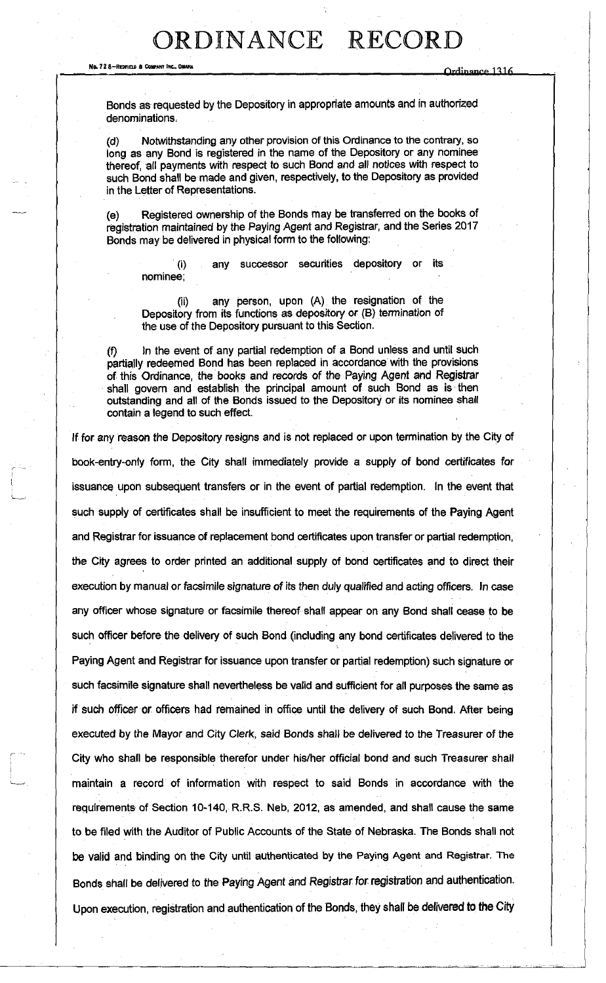No. 72 8-REonne A COWAKT INC.. OMAHA Qrrlinmirp

Bonds as requested by the Depository in appropriate amounts and in authorized denominations,

(d) Notwithstanding any other provision of this Ordinance to the contrary, so long as any Bond is registered in the name of the Depository or any nominee thereof, all payments with respect to such Bond and all notices with respect to such Bond shall be made and given, respectively, to the Depository as provided in the Letter of Representations.

(e) Registered ownership of the Bonds may be transferred on the books of registration maintained by the Paying Agent and Registrar, and the Series 2017 Bonds may be delivered in physical form to the following:

0) nominee; any successor securities depository or its

(ii) any person, upon (A) the resignation of the Depository from its functions as depository or (B) termination of the use of the Depository pursuant to this Section.

(f) In the event of any partial redemption of a Bond unless and until such partially redeemed Bond has been replaced in accordance with the provisions of this Ordinance, the books and records of the Paying Agent and Registrar shall govern and establish the principal amount of such Bond as is then outstanding and all of the Bonds issued to the Depository or its nominee shall contain a legend to such effect.

If for any reason the Depository resigns and is not replaced or upon termination by the City of book-entry-only form, the City shall immediately provide a supply of bond certificates for issuance upon subsequent transfers or in the event of partial redemption. In the event that such supply of certificates shall be insufficient to meet the requirements of the Paying Agent and Registrar for issuance of replacement bond certificates upon transfer or partial redemption, the City agrees to order printed an additional supply of bond certificates and to direct their execution by manual or facsimile signature of its then duly qualified and acting officers. In case any officer whose signature or facsimile thereof shall appear on any Bond shall cease to be such officer before the delivery of such Bond (including any bond certificates delivered to the Paying Agent and Registrar for issuance upon transfer or partial redemption) such signature or such facsimile signature shall nevertheless be valid and sufficient for all purposes the same as if such officer or officers had remained in office until the delivery of such Bond. After being executed by the Mayor and City Clerk, said Bonds shall be delivered to the Treasurer of the City who shall be responsible therefor under his/her official bond and such Treasurer shall maintain a record of information with respect to said Bonds in accordance with the requirements of Section 10-140, R.R.S. Neb, 2012, as amended, and shall cause the same to be filed with the Auditor of Public Accounts of the State of Nebraska. The Bonds shall not be valid and binding on the City until authenticated by the Paying Agent and Registrar. The Bonds shall be delivered to the Paying Agent and Registrar for registration and authentication. Upon execution, registration and authentication of the Bonds, they shall be delivered to the City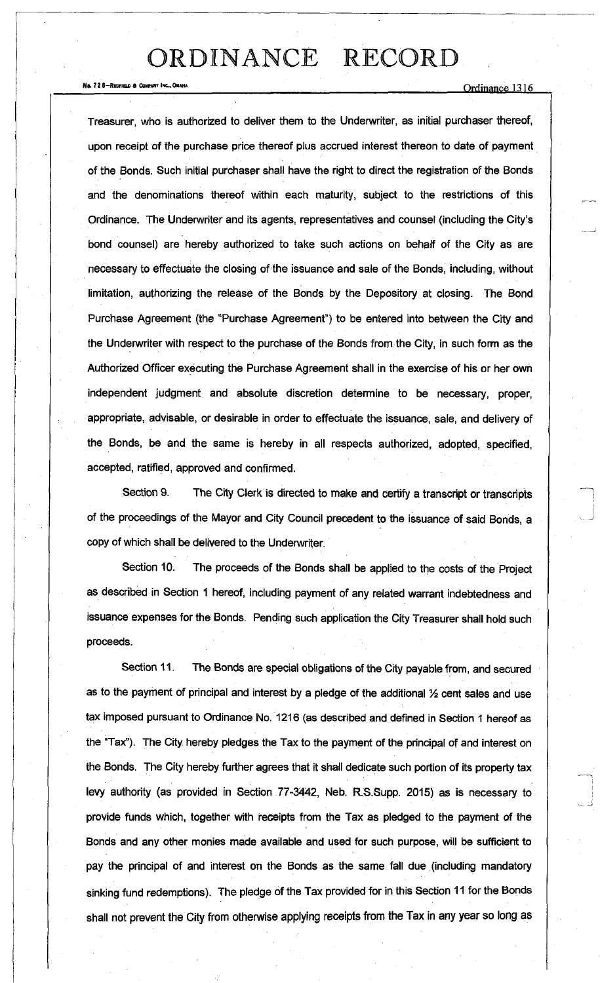No. 72 8-REDFIELD & COMPARY INC.. OMAHA<br>
Comparison of the Company inc...

Treasurer, who is authorized to deliver them to the Underwriter, as initial purchaser thereof, upon receipt of the purchase price thereof plus accrued interest thereon to date of payment of the Bonds. Such initial purchaser shall have the right to direct the registration of the Bonds and the denominations thereof within each maturity, subject to the restrictions of this Ordinance. The Underwriter and its agents, representatives and counsel (including the City's bond counsel) are hereby authorized to take such actions on behalf of the City as are necessary to effectuate the closing of the issuance and sale of the Bonds, including, without limitation, authorizing the release of the Bonds by the Depository at closing. The Bond Purchase Agreement (the "Purchase Agreement") to be entered into between the City and the Underwriter with respect to the purchase of the Bonds from, the City, in such form as the Authorized Officer executing the Purchase Agreement shall in the exercise of his or her own independent judgment and absolute discretion determine to be necessary, proper, appropriate, advisable, or desirable in order to effectuate the issuance, sale, and delivery of the Bonds, be and the same is hereby in all respects authorized, adopted, specified, accepted, ratified, approved and confirmed.

Section 9. The City Clerk is directed to make and certify a transcript or transcripts of the proceedings of the Mayor and City Council precedent to the issuance of said Bonds, a copy of which shall be delivered to the Underwriter.

Section 10. The proceeds of the Bonds shall be applied to the costs of the Project as described in Section 1 hereof, including payment of any related warrant indebtedness and issuance expenses for the Bonds. Pending such application the City Treasurer shall hold such proceeds.

Section 11. The Bonds are special obligations of the City payable from, and secured as to the payment of principal and interest by a pledge of the additional  $\frac{1}{2}$  cent sales and use tax imposed pursuant to Ordinance No. 1216 (as described and defined in Section 1 hereof as the "Tax"). The City hereby pledges the Tax to the payment of the principal of and interest on the Bonds. The City hereby further agrees that it shall dedicate such portion of its property tax levy authority (as provided in Section 77-3442, Neb. R.S.Supp. 2015) as is necessary to provide funds which, together with receipts from the Tax as pledged to the payment of the Bonds and any other monies made available and used for such purpose, will be sufficient to pay the principal of and interest on the Bonds as the same fall due (including mandatory sinking fund redemptions). The pledge of the Tax provided for in this Section 11 for the Bonds shall not prevent the City from otherwise applying receipts from the Tax in any year so long as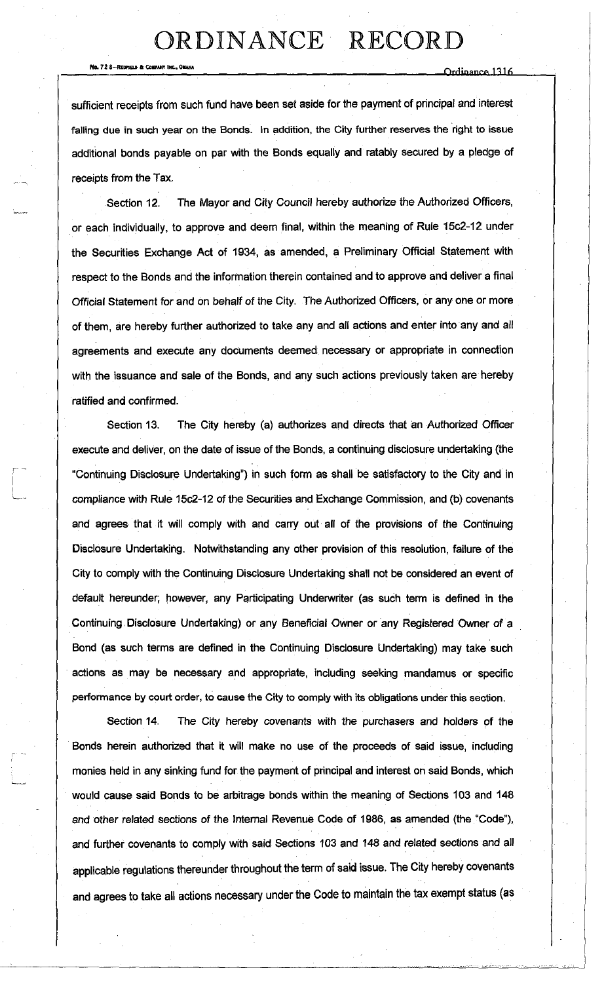No. 728-RCDREUI ft COHTANT iNC.OUHA \_ <sup>1</sup> . - - - , Ornmnnrf\* nln

sufficient receipts from such fund have been set aside for the payment of principal and interest falling due in such year on the Bonds. In addition, the City further reserves the right to issue additional bonds payable on par with the Bonds equally and ratably secured by a pledge of receipts from the Tax.

Section 12. The Mayor and City Council hereby authorize the Authorized Officers, or each individually, to approve and deem final, within the meaning of Rule 15c2-12 under the Securities Exchange Act of 1934, as amended, a Preliminary Official Statement with respect to the Bonds and the information therein contained and to approve and deliver a final Official Statement for and on behalf of the City. The Authorized Officers, or any one or more of them, are hereby further authorized to take any and all actions and enter into any and all agreements and execute any documents deemed necessary or appropriate in connection with the issuance and sale of the Bonds, and any such actions previously taken are hereby ratified and confirmed.

Section 13. The City hereby (a) authorizes and directs that an Authorized Officer execute and deliver, on the date of issue of the Bonds, a continuing disclosure undertaking (the "Continuing Disclosure Undertaking") in such form as shall be satisfactory to the City and in compliance with Rule 15c2-12 of the Securities and Exchange Commission, and (b) covenants and agrees that it will comply with and carry out all of the provisions of the Continuing Disclosure Undertaking. Notwithstanding any other provision of this resolution, failure of the City to comply with the Continuing Disclosure Undertaking shall not be considered an event of default hereunder; however, any Participating Underwriter (as such term is defined in the Continuing Disclosure Undertaking) or any Beneficial Owner or any Registered Owner of a Bond (as such terms are defined in the Continuing Disclosure Undertaking) may take such actions as may be necessary and appropriate, including seeking mandamus or specific performance by court order, to cause the City to comply with its obligations under this section.

Section 14. The City hereby covenants with the purchasers and holders of the Bonds herein authorized that it will make no use of the proceeds of said issue, including monies held in any sinking fund for the payment of principal and interest on said Bonds, which would cause said Bonds to be arbitrage bonds within the meaning of Sections 103 and 148 and other related sections of the Internal Revenue Code of 1986, as amended (the "Code"), and further covenants to comply with said Sections 103 and 148 and related sections and all applicable regulations thereunder throughout the term of said issue. The City hereby covenants and agrees to take all actions necessary under the Code to maintain the tax exempt status (as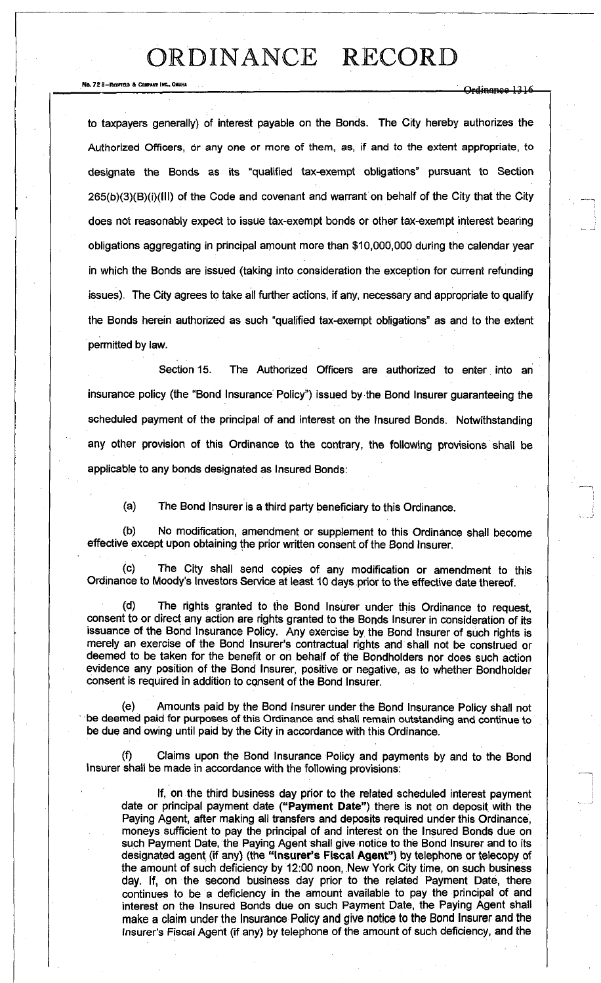No. 72 8-REDFIELD & COMPART INC.. OMAHA **ORDINANT SERVER THE COMPANY OF SHEAR** OF SHEAPER OF SHEAPER OF SHEAPER OF SHEAPER OF SHEAPER OF SHEAPER OF SHEAPER OF SHEAPER OF SHEAPER OF SHEAPER OF SHEAPER OF SHEAPER OF SHEAPER

to taxpayers generally) of interest payable on the Bonds. The City hereby authorizes the Authorized Officers, or any one or more of them, as, if and to the extent appropriate, to designate the Bonds as its "qualified tax-exempt obligations" pursuant to Section 265(b)(3)(B)(i)(lll) of the Code and covenant and warrant on behalf of the City that the City does not reasonably expect to issue tax-exempt bonds or other tax-exempt interest bearing obligations aggregating in principal amount more than \$10,000,000 during the calendar year in which the Bonds are issued (taking into consideration the exception for current refunding issues). The City agrees to take all further actions, if any, necessary and appropriate to qualify the Bonds herein authorized as such "qualified tax-exempt obligations" as and to the extent permitted by law.

Section 15. The Authorized Officers are authorized to enter into an insurance policy (the "Bond Insurance Policy") issued by the Bond Insurer guaranteeing the scheduled payment of the principal of and interest on the Insured Bonds. Notwithstanding any other provision of this Ordinance to the contrary, the following provisions shall be applicable to any bonds designated as Insured Bonds:

(a) The Bond Insurer is a third party beneficiary to this Ordinance.

(b) No modification, amendment or supplement to this Ordinance shall become effective except upon obtaining the prior written consent of the Bond Insurer.

(c) The City shall send copies of any modification or amendment to this Ordinance to Moody's Investors Service at least 10 days prior to the effective date thereof.

(d) The rights granted to the Bond Insurer under this Ordinance to request, consent to or direct any action are rights granted to the Bonds Insurer in consideration of its issuance of the Bond Insurance Policy. Any exercise by the Bond Insurer of such rights is merely an exercise of the Bond Insurer's contractual rights and shall not be construed or deemed to be taken for the benefit or on behalf of the Bondholders nor does such action evidence any position of the Bond Insurer, positive or negative, as to whether Bondholder consent is required in addition to consent of the Bond Insurer.

(e) Amounts paid by the Bond Insurer under the Bond Insurance Policy shall not be deemed paid for purposes of this Ordinance and shall remain outstanding and continue to be due and owing until paid by the City in accordance with this Ordinance.

(f) Claims upon the Bond Insurance Policy and payments by and to the Bond Insurer shall be made in accordance with the following provisions:

If, on the third business day prior to the related scheduled interest payment date or principal payment date **("Payment Date")** there is not on deposit with the Paying Agent, after making all transfers and deposits required under this Ordinance, moneys sufficient to pay the principal of and interest on the Insured Bonds due on such Payment Date, the Paying Agent shall give notice to the Bond Insurer and to its designated agent (if any) (the **"Insurer's Fiscal Agent")** by telephone or telecopy of the amount of such deficiency by 12:00 noon, New York City time, on such business day. If, on the second business day prior to the related Payment Date, there continues to be a deficiency in the amount available to pay the principal of and interest on the Insured Bonds due on such Payment Date, the Paying Agent shall make a claim under the Insurance Policy and give notice to the Bond Insurer and the Insurer's Fiscal Agent (if any) by telephone of the amount of such deficiency, and the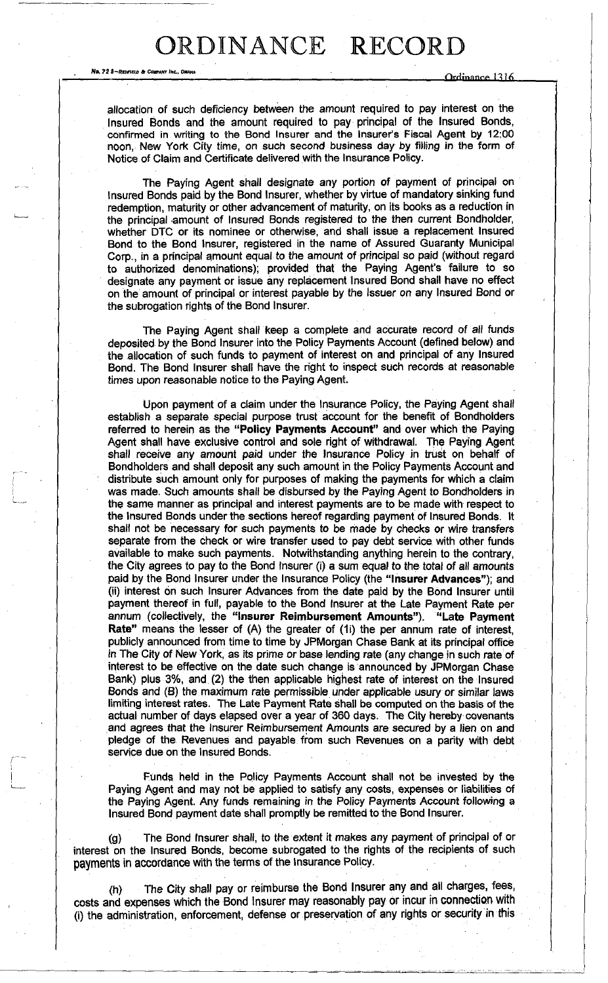No. 72 8~REOFIELD & COMMANY INC.

Ordinance 1316

allocation of such deficiency between the amount required to pay interest on the Insured Bonds and the amount required to pay principal of the Insured Bonds, confirmed in writing to the Bond Insurer and the Insurer's Fiscal Agent by 12:00 noon, New York City time, on such second business day by filling in the form of Notice of Claim and Certificate delivered with the Insurance Policy.

The Paying Agent shall designate any portion of payment of principal on Insured Bonds paid by the Bond Insurer, whether by virtue of mandatory sinking fund redemption, maturity or other advancement of maturity, on its books as a reduction in the principal amount of Insured Bonds registered to the then current Bondholder, whether DTC or its nominee or otherwise, and shall issue a replacement Insured Bond to the Bond Insurer, registered in the name of Assured Guaranty Municipal Corp., in a principal amount equal to the amount of principal so paid (without regard to authorized denominations); provided that the Paying Agent's failure to so designate any payment or issue any replacement Insured Bond shall have no effect on the amount of principal or interest payable by the issuer on any Insured Bond or the subrogation rights of the Bond Insurer.

The Paying Agent shall keep a complete and accurate record of all funds deposited by the Bond Insurer into the Policy Payments Account (defined below) and the allocation of such funds to payment of interest on and principal of any Insured Bond. The Bond Insurer shall have the right to inspect such records at reasonable times upon reasonable notice to the Paying Agent.

Upon payment of a claim under the Insurance Policy, the Paying Agent shall establish a separate special purpose trust account for the benefit of Bondholders referred to herein as the **"Policy Payments Account"** and over which the Paying Agent shall have exclusive control and sole right of withdrawal. The Paying Agent shall receive any amount paid under the Insurance Policy in trust on behalf of Bondholders and shall deposit any such amount in the Policy Payments Account and distribute such amount only for purposes of making the payments for which a claim was made. Such amounts shall be disbursed by the Paying Agent to Bondholders in the same manner as principal and interest payments are to be made with respect to the Insured Bonds under the sections hereof regarding payment of Insured Bonds. It shall not be necessary for such payments to be made by checks or wire transfers separate from the check or wire transfer used to pay debt service with other funds available to make such payments. Notwithstanding anything herein to the contrary, the City agrees to pay to the Bond Insurer (i) a sum equal to the total of all amounts paid by the Bond Insurer under the Insurance Policy (the **"Insurer Advances");** and (ii) interest on such Insurer Advances from the date paid by the Bond Insurer until payment thereof in full, payable to the Bond Insurer at the Late Payment Rate per annum (collectively, the **"Insurer Reimbursement Amounts"). "Late Payment Rate"** means the lesser of (A) the greater of (1i) the per annum rate of interest, publicly announced from time to time by JPMorgan Chase Bank at its principal office in The City of New York, as its prime or base lending rate (any change in such rate of interest to be effective on the date such change is announced by JPMorgan Chase Bank) plus 3%, and (2) the then applicable highest rate of interest on the Insured Bonds and (B) the maximum rate permissible under applicable usury or similar laws limiting interest rates. The Late Payment Rate shall be computed on the basis of the actual number of days elapsed over a year of 360 days. The City hereby covenants and agrees that the Insurer Reimbursement Amounts are secured by a lien on and pledge of the Revenues and payable from such Revenues on a parity with debt service due on the Insured Bonds.

Funds held in the Policy Payments Account shall not be invested by the Paying Agent and may not be applied to satisfy any costs, expenses or liabilities of the Paying Agent. Any funds remaining in the Policy Payments Account following a Insured Bond payment date shall promptly be remitted to the Bond Insurer.

(g) The Bond Insurer shall, to the extent it makes any payment of principal of or interest on the Insured Bonds, become subrogated to the rights of the recipients of such payments in accordance with the terms of the insurance Policy.

(h) The City shall pay or reimburse the Bond Insurer any and all charges, fees, costs and expenses which the Bond Insurer may reasonably pay or incur in connection with (i) the administration, enforcement, defense or preservation of any rights or security in this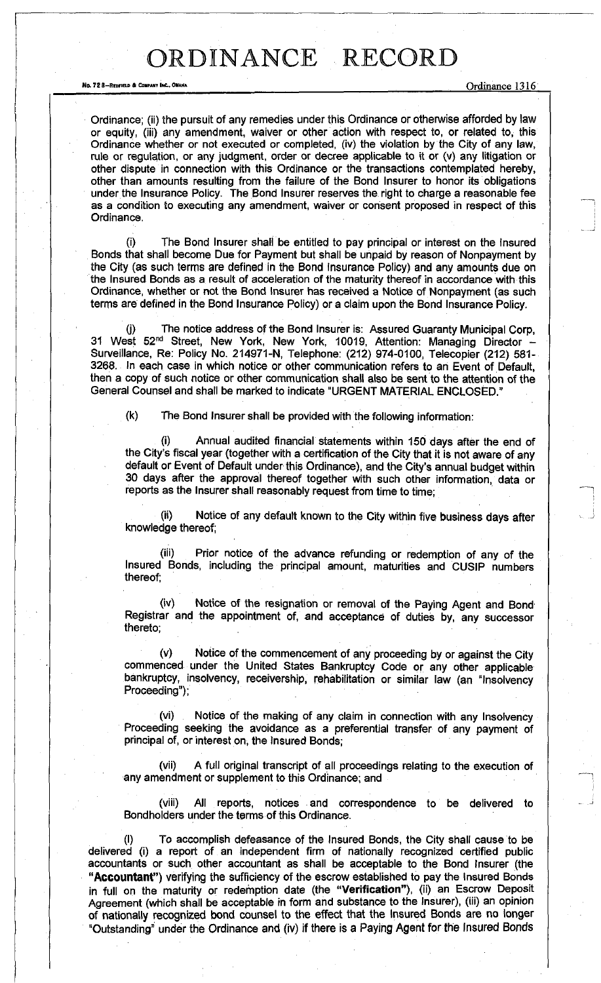No. 72 8—REDFIELD & COMPANY INC., OMAHA **No. 72 and 73 and 73 and 73 and 73 and 73 and 74** Ordinance 1316

Ordinance; (ii) the pursuit of any remedies under this Ordinance or otherwise afforded by law or equity, (iii) any amendment, waiver or other action with respect to, or related to, this Ordinance whether or not executed or completed, (iv) the violation by the City of any law, rule or regulation, or any judgment, order or decree applicable to it or (v) any litigation or other dispute in connection with this Ordinance or the transactions contemplated hereby, other than amounts resulting from the failure of the Bond Insurer to honor its obligations under the Insurance Policy. The Bond Insurer reserves the right to charge a reasonable fee as a condition to executing any amendment, waiver or consent proposed in respect of this Ordinance.

The Bond Insurer shall be entitled to pay principal or interest on the Insured Bonds that shall become Due for Payment but shall be unpaid by reason of Nonpayment by the City (as such terms are defined in the Bond Insurance Policy) and any amounts due on the Insured Bonds as a result of acceleration of the maturity thereof in accordance with this Ordinance, whether or not the Bond Insurer has received a Notice of Nonpayment (as such terms are defined in the Bond Insurance Policy) or a claim upon the Bond Insurance Policy.

The notice address of the Bond Insurer is: Assured Guaranty Municipal Corp, 31 West 52<sup>nd</sup> Street, New York, New York, 10019, Attention: Managing Director -Surveillance, Re: Policy No. 214971-N, Telephone: (212) 974-0100, Telecopier (212) 581- 3268. In each case in which notice or other communication refers to ah Event of Default, then a copy of such notice or other communication shall also be sent to the attention of the General Counsel and shall be marked to indicate "URGENT MATERIAL ENCLOSED."

(k) The Bond Insurer shall be provided with the following information:

Annual audited financial statements within 150 days after the end of the City's fiscal year (together with a certification of the City that it is not aware of any default or Event of Default under this Ordinance), and the City's annual budget within 30 days after the approval thereof together with such other information, data or reports as the Insurer shall reasonably request from time to time;

(ii) Notice of any default known to the City within five business days after knowledge thereof;

(iii) Prior notice of the advance refunding or redemption of any of the Insured Bonds, including the principal amount, maturities and CUSIP numbers thereof;

Notice of the resignation or removal of the Paying Agent and Bond Registrar and the appointment of, and acceptance of duties by, any successor thereto;

(v) Notice of the commencement of any proceeding by or against the City commenced under the United States Bankruptcy Code or any other applicable bankruptcy, insolvency, receivership, rehabilitation or similar law (an "Insolvency Proceeding");

(vi) Notice of the making of any claim in connection with any Insolvency Proceeding seeking the avoidance as a preferential transfer of any payment of principal of, or interest on, the Insured Bonds;

(vii) A full original transcript of all proceedings relating to the execution of any amendment or supplement to this Ordinance; and

(viii) All reports, notices and correspondence to be delivered to Bondholders under the terms of this Ordinance.

To accomplish defeasance of the Insured Bonds, the City shall cause to be delivered (i) a report of an independent firm of nationally recognized certified public accountants or such other accountant as shall be acceptable to the Bond Insurer (the **"Accountant")** verifying the sufficiency of the escrow established to pay the Insured Bonds in full on the maturity or redemption date (the **"Verification"),** (ii) an Escrow Deposit Agreement (which shall be acceptable in form and substance to the Insurer), (iii) an opinion of nationally recognized bond counsel to the effect that the Insured Bonds are no longer "Outstanding" under the Ordinance and (iv) if there is a Paying Agent for the Insured Bonds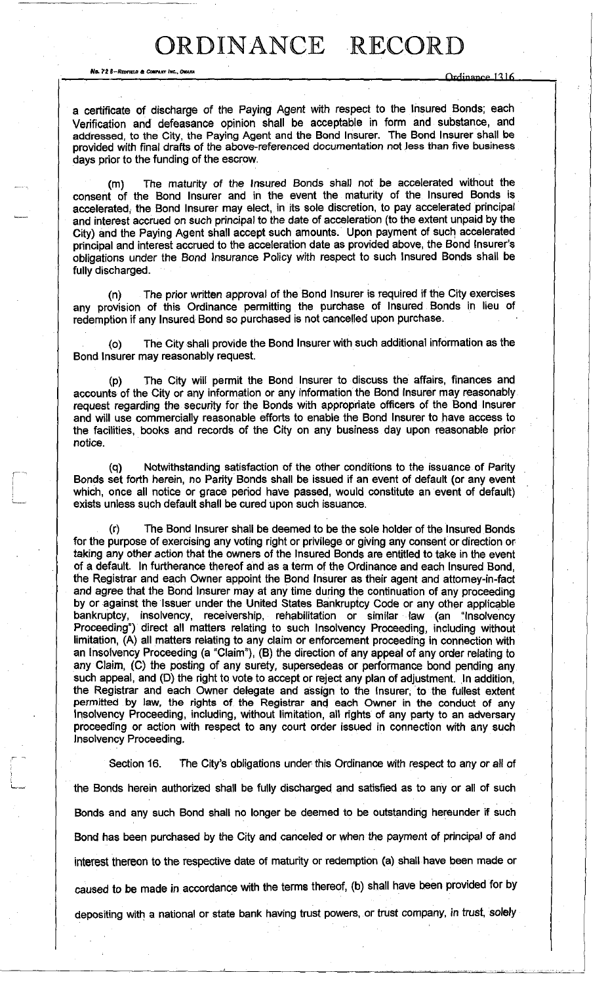No. 72 8-REDFIELD & COMPANY INC., OKAHA

Ordinance 1316

a certificate of discharge of the Paying Agent with respect to the Insured Bonds; each Verification and defeasance opinion shall be acceptable in form and substance, and addressed, to the City, the Paying Agent and the Bond Insurer. The Bond Insurer shall be provided with final drafts of the above-referenced documentation not less than five business days prior to the funding of the escrow.

(m) The maturity of the Insured Bonds shall not be accelerated without the consent of the Bond Insurer and in the event the maturity of the Insured Bonds is accelerated, the Bond Insurer may elect, in its sole discretion, to pay accelerated principal and interest accrued on such principal to the date of acceleration (to the extent unpaid by the City) and the Paying Agent shall accept such amounts. Upon payment of such accelerated principal and interest accrued to the acceleration date as provided above, the Bond Insurer's obligations under the Bond Insurance Policy with respect to such Insured Bonds shall be fully discharged.

(n) The prior written approval of the Bond Insurer is required if the City exercises any provision of this Ordinance permitting the purchase of Insured Bonds in lieu of redemption if any Insured Bond so purchased is not cancelled upon purchase.

(o) The City shall provide the Bond Insurer with such additional information as the Bond Insurer may reasonably request.

(p) The City will permit the Bond Insurer to discuss the affairs, finances and accounts of the City or any information or any information the Bond Insurer may reasonably request regarding the security for the Bonds with appropriate officers of the Bond Insurer and will use commercially reasonable efforts to enable the Bond Insurer to have access to the facilities, books and records of the City on any business day upon reasonable prior notice.

(q) Notwithstanding satisfaction of the other conditions to the issuance of Parity Bonds set forth herein, no Parity Bonds shall be issued if an event of default (or any event which, once all notice or grace period have passed, would constitute an event of default) exists unless such default shall be cured upon such issuance.

(r) The Bond Insurer shall be deemed to be the sole holder of the Insured Bonds for the purpose of exercising any voting right or privilege or giving any consent or direction or taking any other action that the owners of the Insured Bonds are entitled to take in the event of a default. In furtherance thereof and as a term of the Ordinance and each Insured Bond, the Registrar and each Owner appoint the Bond Insurer as their agent and attorney-in-fact and agree that the Bond Insurer may at any time during the continuation of any proceeding by or against the Issuer under the United States Bankruptcy Code or any other applicable bankruptcy, insolvency, receivership, rehabilitation or similar law (an "Insolvency Proceeding") direct all matters relating to such Insolvency Proceeding, including without limitation, (A) all matters relating to any claim or enforcement proceeding in connection with an Insolvency Proceeding (a "Claim"), (B) the direction of any appeal of any order relating to any Claim, (C) the posting of any surety, supersedeas or performance bond pending any such appeal, and (D) the right to vote to accept or reject any plan of adjustment. In addition, the Registrar and each Owner delegate and assign to the Insurer, to the fullest extent permitted by law, the rights of the Registrar and each Owner in the conduct of any Insolvency Proceeding, including, without limitation, all rights of any party to an adversary proceeding or action with respect to any court order issued in connection with any such Insolvency Proceeding.

Section 16. The City's obligations under this Ordinance with respect to any or all of the Bonds herein authorized shall be fully discharged and satisfied as to any or all of such Bonds and any such Bond shall no longer be deemed to be outstanding hereunder if such Bond has been purchased by the City and canceled or when the payment of principal of and interest thereon to the respective date of maturity or redemption (a) shall have been made or caused to be made in accordance with the terms thereof, (b) shall have been provided for by depositing with a national or state bank having trust powers, or trust company, in trust, solely